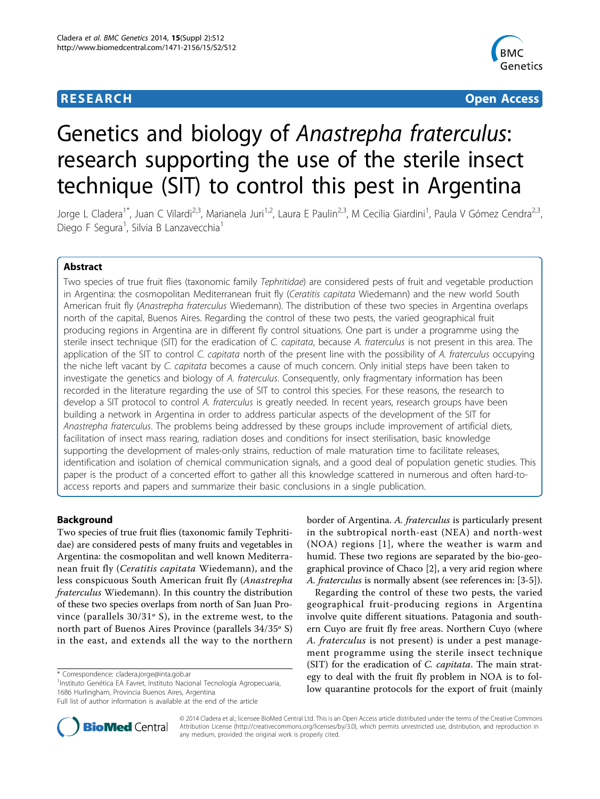## **RESEARCH CONSTRUCTION CONTROL**



# Genetics and biology of Anastrepha fraterculus: research supporting the use of the sterile insect technique (SIT) to control this pest in Argentina

Jorge L Cladera<sup>1\*</sup>, Juan C Vilardi<sup>2,3</sup>, Marianela Juri<sup>1,2</sup>, Laura E Paulin<sup>2,3</sup>, M Cecilia Giardini<sup>1</sup>, Paula V Gómez Cendra<sup>2,3</sup>, Diego F Segura<sup>1</sup>, Silvia B Lanzavecchia<sup>1</sup>

## Abstract

Two species of true fruit flies (taxonomic family Tephritidae) are considered pests of fruit and vegetable production in Argentina: the cosmopolitan Mediterranean fruit fly (Ceratitis capitata Wiedemann) and the new world South American fruit fly (Anastrepha fraterculus Wiedemann). The distribution of these two species in Argentina overlaps north of the capital, Buenos Aires. Regarding the control of these two pests, the varied geographical fruit producing regions in Argentina are in different fly control situations. One part is under a programme using the sterile insect technique (SIT) for the eradication of C. capitata, because A. fraterculus is not present in this area. The application of the SIT to control C. capitata north of the present line with the possibility of A. fraterculus occupying the niche left vacant by C. capitata becomes a cause of much concern. Only initial steps have been taken to investigate the genetics and biology of A. fraterculus. Consequently, only fragmentary information has been recorded in the literature regarding the use of SIT to control this species. For these reasons, the research to develop a SIT protocol to control A. fraterculus is greatly needed. In recent years, research groups have been building a network in Argentina in order to address particular aspects of the development of the SIT for Anastrepha fraterculus. The problems being addressed by these groups include improvement of artificial diets, facilitation of insect mass rearing, radiation doses and conditions for insect sterilisation, basic knowledge supporting the development of males-only strains, reduction of male maturation time to facilitate releases, identification and isolation of chemical communication signals, and a good deal of population genetic studies. This paper is the product of a concerted effort to gather all this knowledge scattered in numerous and often hard-toaccess reports and papers and summarize their basic conclusions in a single publication.

## Background

Two species of true fruit flies (taxonomic family Tephritidae) are considered pests of many fruits and vegetables in Argentina: the cosmopolitan and well known Mediterranean fruit fly (Ceratitis capitata Wiedemann), and the less conspicuous South American fruit fly (Anastrepha fraterculus Wiedemann). In this country the distribution of these two species overlaps from north of San Juan Province (parallels 30/31º S), in the extreme west, to the north part of Buenos Aires Province (parallels 34/35º S) in the east, and extends all the way to the northern

1 Instituto Genética EA Favret, Instituto Nacional Tecnología Agropecuaria, 1686 Hurlingham, Provincia Buenos Aires, Argentina

border of Argentina. A. fraterculus is particularly present in the subtropical north-east (NEA) and north-west (NOA) regions [[1\]](#page-10-0), where the weather is warm and humid. These two regions are separated by the bio-geographical province of Chaco [\[2\]](#page-10-0), a very arid region where A. fraterculus is normally absent (see references in: [[3-5](#page-10-0)]).

Regarding the control of these two pests, the varied geographical fruit-producing regions in Argentina involve quite different situations. Patagonia and southern Cuyo are fruit fly free areas. Northern Cuyo (where A. fraterculus is not present) is under a pest management programme using the sterile insect technique (SIT) for the eradication of C. capitata. The main strategy to deal with the fruit fly problem in NOA is to follow quarantine protocols for the export of fruit (mainly



© 2014 Cladera et al.; licensee BioMed Central Ltd. This is an Open Access article distributed under the terms of the Creative Commons Attribution License [\(http://creativecommons.org/licenses/by/3.0](http://creativecommons.org/licenses/by/3.0)), which permits unrestricted use, distribution, and reproduction in any medium, provided the original work is properly cited.

<sup>\*</sup> Correspondence: [cladera.jorge@inta.gob.ar](mailto:cladera.jorge@inta.gob.ar)

Full list of author information is available at the end of the article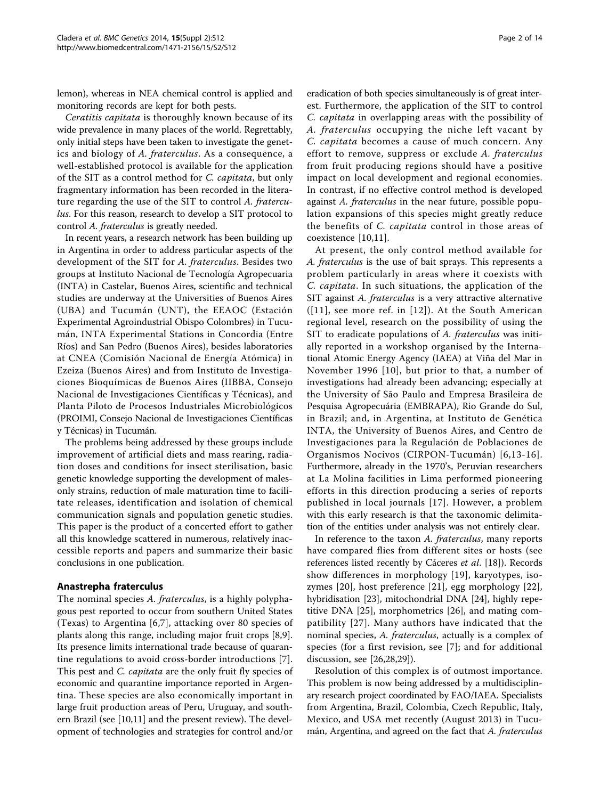lemon), whereas in NEA chemical control is applied and monitoring records are kept for both pests.

Ceratitis capitata is thoroughly known because of its wide prevalence in many places of the world. Regrettably, only initial steps have been taken to investigate the genetics and biology of A. fraterculus. As a consequence, a well-established protocol is available for the application of the SIT as a control method for C. capitata, but only fragmentary information has been recorded in the literature regarding the use of the SIT to control A. fraterculus. For this reason, research to develop a SIT protocol to control A. fraterculus is greatly needed.

In recent years, a research network has been building up in Argentina in order to address particular aspects of the development of the SIT for A. fraterculus. Besides two groups at Instituto Nacional de Tecnología Agropecuaria (INTA) in Castelar, Buenos Aires, scientific and technical studies are underway at the Universities of Buenos Aires (UBA) and Tucumán (UNT), the EEAOC (Estación Experimental Agroindustrial Obispo Colombres) in Tucumán, INTA Experimental Stations in Concordia (Entre Ríos) and San Pedro (Buenos Aires), besides laboratories at CNEA (Comisión Nacional de Energía Atómica) in Ezeiza (Buenos Aires) and from Instituto de Investigaciones Bioquímicas de Buenos Aires (IIBBA, Consejo Nacional de Investigaciones Científicas y Técnicas), and Planta Piloto de Procesos Industriales Microbiológicos (PROIMI, Consejo Nacional de Investigaciones Científicas y Técnicas) in Tucumán.

The problems being addressed by these groups include improvement of artificial diets and mass rearing, radiation doses and conditions for insect sterilisation, basic genetic knowledge supporting the development of malesonly strains, reduction of male maturation time to facilitate releases, identification and isolation of chemical communication signals and population genetic studies. This paper is the product of a concerted effort to gather all this knowledge scattered in numerous, relatively inaccessible reports and papers and summarize their basic conclusions in one publication.

#### Anastrepha fraterculus

The nominal species A. fraterculus, is a highly polyphagous pest reported to occur from southern United States (Texas) to Argentina [[6,7](#page-10-0)], attacking over 80 species of plants along this range, including major fruit crops [\[8,9](#page-10-0)]. Its presence limits international trade because of quarantine regulations to avoid cross-border introductions [[7](#page-10-0)]. This pest and *C. capitata* are the only fruit fly species of economic and quarantine importance reported in Argentina. These species are also economically important in large fruit production areas of Peru, Uruguay, and southern Brazil (see [\[10,11\]](#page-10-0) and the present review). The development of technologies and strategies for control and/or

eradication of both species simultaneously is of great interest. Furthermore, the application of the SIT to control C. capitata in overlapping areas with the possibility of A. fraterculus occupying the niche left vacant by C. capitata becomes a cause of much concern. Any effort to remove, suppress or exclude A. fraterculus from fruit producing regions should have a positive impact on local development and regional economies. In contrast, if no effective control method is developed against A. fraterculus in the near future, possible population expansions of this species might greatly reduce the benefits of C. capitata control in those areas of coexistence [[10,11](#page-10-0)].

At present, the only control method available for A. fraterculus is the use of bait sprays. This represents a problem particularly in areas where it coexists with C. capitata. In such situations, the application of the SIT against A. fraterculus is a very attractive alternative ([[11](#page-10-0)], see more ref. in [[12\]](#page-10-0)). At the South American regional level, research on the possibility of using the SIT to eradicate populations of A. fraterculus was initially reported in a workshop organised by the International Atomic Energy Agency (IAEA) at Viña del Mar in November 1996 [[10](#page-10-0)], but prior to that, a number of investigations had already been advancing; especially at the University of São Paulo and Empresa Brasileira de Pesquisa Agropecuária (EMBRAPA), Rio Grande do Sul, in Brazil; and, in Argentina, at Instituto de Genética INTA, the University of Buenos Aires, and Centro de Investigaciones para la Regulación de Poblaciones de Organismos Nocivos (CIRPON-Tucumán) [[6](#page-10-0),[13](#page-10-0)-[16\]](#page-10-0). Furthermore, already in the 1970's, Peruvian researchers at La Molina facilities in Lima performed pioneering efforts in this direction producing a series of reports published in local journals [\[17\]](#page-11-0). However, a problem with this early research is that the taxonomic delimitation of the entities under analysis was not entirely clear.

In reference to the taxon A. fraterculus, many reports have compared flies from different sites or hosts (see references listed recently by Cáceres et al. [[18](#page-11-0)]). Records show differences in morphology [\[19\]](#page-11-0), karyotypes, isozymes [\[20](#page-11-0)], host preference [[21\]](#page-11-0), egg morphology [[22](#page-11-0)], hybridisation [\[23\]](#page-11-0), mitochondrial DNA [\[24\]](#page-11-0), highly repetitive DNA [[25\]](#page-11-0), morphometrics [[26](#page-11-0)], and mating compatibility [[27\]](#page-11-0). Many authors have indicated that the nominal species, A. fraterculus, actually is a complex of species (for a first revision, see [\[7\]](#page-10-0); and for additional discussion, see [[26](#page-11-0),[28](#page-11-0),[29](#page-11-0)]).

Resolution of this complex is of outmost importance. This problem is now being addressed by a multidisciplinary research project coordinated by FAO/IAEA. Specialists from Argentina, Brazil, Colombia, Czech Republic, Italy, Mexico, and USA met recently (August 2013) in Tucumán, Argentina, and agreed on the fact that A. fraterculus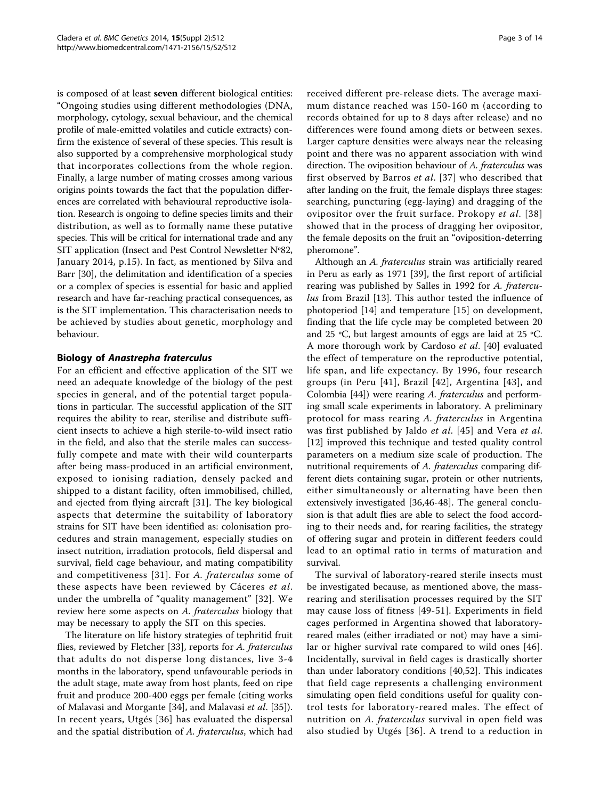is composed of at least seven different biological entities: "Ongoing studies using different methodologies (DNA, morphology, cytology, sexual behaviour, and the chemical profile of male-emitted volatiles and cuticle extracts) confirm the existence of several of these species. This result is also supported by a comprehensive morphological study that incorporates collections from the whole region. Finally, a large number of mating crosses among various origins points towards the fact that the population differences are correlated with behavioural reproductive isolation. Research is ongoing to define species limits and their distribution, as well as to formally name these putative species. This will be critical for international trade and any SIT application (Insect and Pest Control Newsletter Nº82, January 2014, p.15). In fact, as mentioned by Silva and Barr [[30\]](#page-11-0), the delimitation and identification of a species or a complex of species is essential for basic and applied research and have far-reaching practical consequences, as is the SIT implementation. This characterisation needs to be achieved by studies about genetic, morphology and behaviour.

## Biology of Anastrepha fraterculus

For an efficient and effective application of the SIT we need an adequate knowledge of the biology of the pest species in general, and of the potential target populations in particular. The successful application of the SIT requires the ability to rear, sterilise and distribute sufficient insects to achieve a high sterile-to-wild insect ratio in the field, and also that the sterile males can successfully compete and mate with their wild counterparts after being mass-produced in an artificial environment, exposed to ionising radiation, densely packed and shipped to a distant facility, often immobilised, chilled, and ejected from flying aircraft [\[31](#page-11-0)]. The key biological aspects that determine the suitability of laboratory strains for SIT have been identified as: colonisation procedures and strain management, especially studies on insect nutrition, irradiation protocols, field dispersal and survival, field cage behaviour, and mating compatibility and competitiveness [[31](#page-11-0)]. For A. fraterculus some of these aspects have been reviewed by Cáceres et al. under the umbrella of "quality management" [[32\]](#page-11-0). We review here some aspects on A. fraterculus biology that may be necessary to apply the SIT on this species.

The literature on life history strategies of tephritid fruit flies, reviewed by Fletcher [[33\]](#page-11-0), reports for A. fraterculus that adults do not disperse long distances, live 3-4 months in the laboratory, spend unfavourable periods in the adult stage, mate away from host plants, feed on ripe fruit and produce 200-400 eggs per female (citing works of Malavasi and Morgante [[34\]](#page-11-0), and Malavasi et al. [[35\]](#page-11-0)). In recent years, Utgés [[36](#page-11-0)] has evaluated the dispersal and the spatial distribution of A. fraterculus, which had received different pre-release diets. The average maximum distance reached was 150-160 m (according to records obtained for up to 8 days after release) and no differences were found among diets or between sexes. Larger capture densities were always near the releasing point and there was no apparent association with wind direction. The oviposition behaviour of A. fraterculus was first observed by Barros et al. [\[37\]](#page-11-0) who described that after landing on the fruit, the female displays three stages: searching, puncturing (egg-laying) and dragging of the ovipositor over the fruit surface. Prokopy et al. [[38](#page-11-0)] showed that in the process of dragging her ovipositor, the female deposits on the fruit an "oviposition-deterring pheromone".

Although an A. fraterculus strain was artificially reared in Peru as early as 1971 [[39\]](#page-11-0), the first report of artificial rearing was published by Salles in 1992 for A. fratercu-lus from Brazil [[13\]](#page-10-0). This author tested the influence of photoperiod [[14\]](#page-10-0) and temperature [\[15](#page-10-0)] on development, finding that the life cycle may be completed between 20 and 25 ºC, but largest amounts of eggs are laid at 25 ºC. A more thorough work by Cardoso et al. [\[40](#page-11-0)] evaluated the effect of temperature on the reproductive potential, life span, and life expectancy. By 1996, four research groups (in Peru [[41](#page-11-0)], Brazil [[42](#page-11-0)], Argentina [[43](#page-11-0)], and Colombia [[44\]](#page-11-0)) were rearing A. fraterculus and performing small scale experiments in laboratory. A preliminary protocol for mass rearing A. fraterculus in Argentina was first published by Jaldo et al. [[45](#page-11-0)] and Vera et al. [[12\]](#page-10-0) improved this technique and tested quality control parameters on a medium size scale of production. The nutritional requirements of A. fraterculus comparing different diets containing sugar, protein or other nutrients, either simultaneously or alternating have been then extensively investigated [\[36](#page-11-0),[46](#page-11-0)-[48](#page-11-0)]. The general conclusion is that adult flies are able to select the food according to their needs and, for rearing facilities, the strategy of offering sugar and protein in different feeders could lead to an optimal ratio in terms of maturation and survival.

The survival of laboratory-reared sterile insects must be investigated because, as mentioned above, the massrearing and sterilisation processes required by the SIT may cause loss of fitness [[49](#page-11-0)-[51](#page-11-0)]. Experiments in field cages performed in Argentina showed that laboratoryreared males (either irradiated or not) may have a similar or higher survival rate compared to wild ones [[46](#page-11-0)]. Incidentally, survival in field cages is drastically shorter than under laboratory conditions [[40,52\]](#page-11-0). This indicates that field cage represents a challenging environment simulating open field conditions useful for quality control tests for laboratory-reared males. The effect of nutrition on A. fraterculus survival in open field was also studied by Utgés [[36\]](#page-11-0). A trend to a reduction in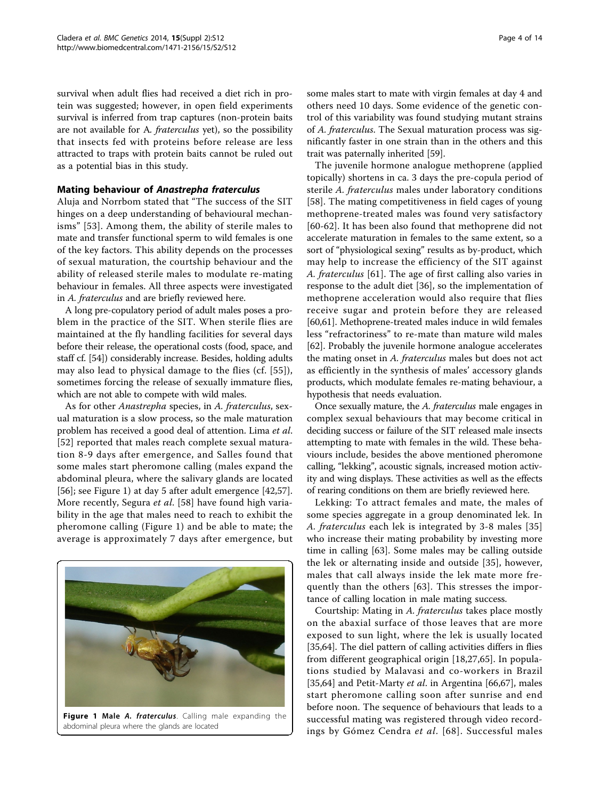survival when adult flies had received a diet rich in protein was suggested; however, in open field experiments survival is inferred from trap captures (non-protein baits are not available for A. fraterculus yet), so the possibility that insects fed with proteins before release are less attracted to traps with protein baits cannot be ruled out as a potential bias in this study.

#### Mating behaviour of Anastrepha fraterculus

Aluja and Norrbom stated that "The success of the SIT hinges on a deep understanding of behavioural mechanisms" [[53\]](#page-11-0). Among them, the ability of sterile males to mate and transfer functional sperm to wild females is one of the key factors. This ability depends on the processes of sexual maturation, the courtship behaviour and the ability of released sterile males to modulate re-mating behaviour in females. All three aspects were investigated in A. fraterculus and are briefly reviewed here.

A long pre-copulatory period of adult males poses a problem in the practice of the SIT. When sterile flies are maintained at the fly handling facilities for several days before their release, the operational costs (food, space, and staff cf. [\[54\]](#page-11-0)) considerably increase. Besides, holding adults may also lead to physical damage to the flies (cf. [\[55\]](#page-11-0)), sometimes forcing the release of sexually immature flies, which are not able to compete with wild males.

As for other Anastrepha species, in A. fraterculus, sexual maturation is a slow process, so the male maturation problem has received a good deal of attention. Lima et al. [[52](#page-11-0)] reported that males reach complete sexual maturation 8-9 days after emergence, and Salles found that some males start pheromone calling (males expand the abdominal pleura, where the salivary glands are located [[56\]](#page-11-0); see Figure 1) at day 5 after adult emergence [\[42,57](#page-11-0)]. More recently, Segura et al. [[58\]](#page-11-0) have found high variability in the age that males need to reach to exhibit the pheromone calling (Figure 1) and be able to mate; the average is approximately 7 days after emergence, but



Figure 1 Male A. fraterculus. Calling male expanding the abdominal pleura where the glands are located

some males start to mate with virgin females at day 4 and others need 10 days. Some evidence of the genetic control of this variability was found studying mutant strains of A. fraterculus. The Sexual maturation process was significantly faster in one strain than in the others and this trait was paternally inherited [\[59\]](#page-11-0).

The juvenile hormone analogue methoprene (applied topically) shortens in ca. 3 days the pre-copula period of sterile A. fraterculus males under laboratory conditions [[58\]](#page-11-0). The mating competitiveness in field cages of young methoprene-treated males was found very satisfactory [[60](#page-12-0)-[62\]](#page-12-0). It has been also found that methoprene did not accelerate maturation in females to the same extent, so a sort of "physiological sexing" results as by-product, which may help to increase the efficiency of the SIT against A. fraterculus [[61\]](#page-12-0). The age of first calling also varies in response to the adult diet [\[36](#page-11-0)], so the implementation of methoprene acceleration would also require that flies receive sugar and protein before they are released [[60,61\]](#page-12-0). Methoprene-treated males induce in wild females less "refractoriness" to re-mate than mature wild males [[62\]](#page-12-0). Probably the juvenile hormone analogue accelerates the mating onset in A. fraterculus males but does not act as efficiently in the synthesis of males' accessory glands products, which modulate females re-mating behaviour, a hypothesis that needs evaluation.

Once sexually mature, the A. fraterculus male engages in complex sexual behaviours that may become critical in deciding success or failure of the SIT released male insects attempting to mate with females in the wild. These behaviours include, besides the above mentioned pheromone calling, "lekking", acoustic signals, increased motion activity and wing displays. These activities as well as the effects of rearing conditions on them are briefly reviewed here.

Lekking: To attract females and mate, the males of some species aggregate in a group denominated lek. In A. fraterculus each lek is integrated by 3-8 males [[35](#page-11-0)] who increase their mating probability by investing more time in calling [[63](#page-12-0)]. Some males may be calling outside the lek or alternating inside and outside [\[35](#page-11-0)], however, males that call always inside the lek mate more frequently than the others [[63](#page-12-0)]. This stresses the importance of calling location in male mating success.

Courtship: Mating in A. fraterculus takes place mostly on the abaxial surface of those leaves that are more exposed to sun light, where the lek is usually located [[35,](#page-11-0)[64\]](#page-12-0). The diel pattern of calling activities differs in flies from different geographical origin [[18,27](#page-11-0),[65\]](#page-12-0). In populations studied by Malavasi and co-workers in Brazil [[35,](#page-11-0)[64\]](#page-12-0) and Petit-Marty et al. in Argentina [[66,67\]](#page-12-0), males start pheromone calling soon after sunrise and end before noon. The sequence of behaviours that leads to a successful mating was registered through video recordings by Gómez Cendra et al. [[68](#page-12-0)]. Successful males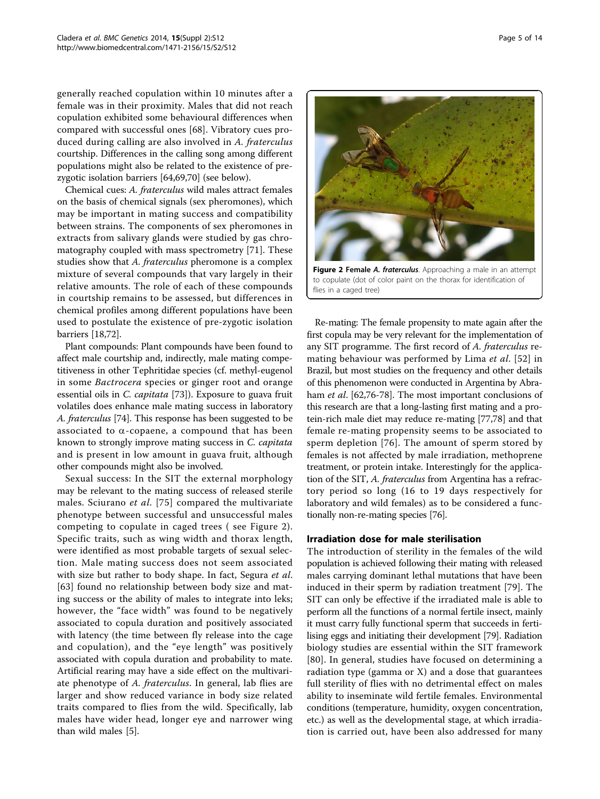generally reached copulation within 10 minutes after a female was in their proximity. Males that did not reach copulation exhibited some behavioural differences when compared with successful ones [[68\]](#page-12-0). Vibratory cues produced during calling are also involved in A. fraterculus courtship. Differences in the calling song among different populations might also be related to the existence of prezygotic isolation barriers [\[64,69,70\]](#page-12-0) (see below).

Chemical cues: A. fraterculus wild males attract females on the basis of chemical signals (sex pheromones), which may be important in mating success and compatibility between strains. The components of sex pheromones in extracts from salivary glands were studied by gas chromatography coupled with mass spectrometry [[71\]](#page-12-0). These studies show that A. fraterculus pheromone is a complex mixture of several compounds that vary largely in their relative amounts. The role of each of these compounds in courtship remains to be assessed, but differences in chemical profiles among different populations have been used to postulate the existence of pre-zygotic isolation barriers [[18](#page-11-0),[72](#page-12-0)].

Plant compounds: Plant compounds have been found to affect male courtship and, indirectly, male mating competitiveness in other Tephritidae species (cf. methyl-eugenol in some Bactrocera species or ginger root and orange essential oils in C. capitata [[73](#page-12-0)]). Exposure to guava fruit volatiles does enhance male mating success in laboratory A. fraterculus [\[74\]](#page-12-0). This response has been suggested to be associated to  $\alpha$ -copaene, a compound that has been known to strongly improve mating success in C. capitata and is present in low amount in guava fruit, although other compounds might also be involved.

Sexual success: In the SIT the external morphology may be relevant to the mating success of released sterile males. Sciurano et al. [[75](#page-12-0)] compared the multivariate phenotype between successful and unsuccessful males competing to copulate in caged trees ( see Figure 2). Specific traits, such as wing width and thorax length, were identified as most probable targets of sexual selection. Male mating success does not seem associated with size but rather to body shape. In fact, Segura et al. [[63](#page-12-0)] found no relationship between body size and mating success or the ability of males to integrate into leks; however, the "face width" was found to be negatively associated to copula duration and positively associated with latency (the time between fly release into the cage and copulation), and the "eye length" was positively associated with copula duration and probability to mate. Artificial rearing may have a side effect on the multivariate phenotype of A. fraterculus. In general, lab flies are larger and show reduced variance in body size related traits compared to flies from the wild. Specifically, lab males have wider head, longer eye and narrower wing than wild males [\[5\]](#page-10-0).



Figure 2 Female A. fraterculus. Approaching a male in an attempt to copulate (dot of color paint on the thorax for identification of flies in a caged tree)

Re-mating: The female propensity to mate again after the first copula may be very relevant for the implementation of any SIT programme. The first record of A. fraterculus remating behaviour was performed by Lima et al. [[52\]](#page-11-0) in Brazil, but most studies on the frequency and other details of this phenomenon were conducted in Argentina by Abra-ham et al. [[62,76](#page-12-0)-[78\]](#page-12-0). The most important conclusions of this research are that a long-lasting first mating and a protein-rich male diet may reduce re-mating [[77,78](#page-12-0)] and that female re-mating propensity seems to be associated to sperm depletion [\[76\]](#page-12-0). The amount of sperm stored by females is not affected by male irradiation, methoprene treatment, or protein intake. Interestingly for the application of the SIT, A. fraterculus from Argentina has a refractory period so long (16 to 19 days respectively for laboratory and wild females) as to be considered a functionally non-re-mating species [[76\]](#page-12-0).

## Irradiation dose for male sterilisation

The introduction of sterility in the females of the wild population is achieved following their mating with released males carrying dominant lethal mutations that have been induced in their sperm by radiation treatment [[79\]](#page-12-0). The SIT can only be effective if the irradiated male is able to perform all the functions of a normal fertile insect, mainly it must carry fully functional sperm that succeeds in fertilising eggs and initiating their development [\[79\]](#page-12-0). Radiation biology studies are essential within the SIT framework [[80](#page-12-0)]. In general, studies have focused on determining a radiation type (gamma or X) and a dose that guarantees full sterility of flies with no detrimental effect on males ability to inseminate wild fertile females. Environmental conditions (temperature, humidity, oxygen concentration, etc.) as well as the developmental stage, at which irradiation is carried out, have been also addressed for many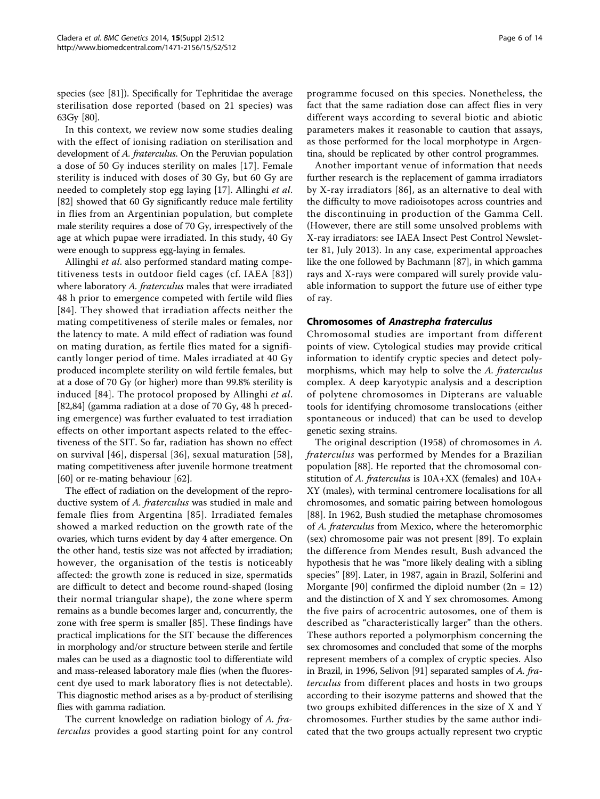species (see [\[81\]](#page-12-0)). Specifically for Tephritidae the average sterilisation dose reported (based on 21 species) was 63Gy [\[80\]](#page-12-0).

In this context, we review now some studies dealing with the effect of ionising radiation on sterilisation and development of A. fraterculus. On the Peruvian population a dose of 50 Gy induces sterility on males [[17\]](#page-11-0). Female sterility is induced with doses of 30 Gy, but 60 Gy are needed to completely stop egg laying [[17\]](#page-11-0). Allinghi et al. [[82\]](#page-12-0) showed that 60 Gy significantly reduce male fertility in flies from an Argentinian population, but complete male sterility requires a dose of 70 Gy, irrespectively of the age at which pupae were irradiated. In this study, 40 Gy were enough to suppress egg-laying in females.

Allinghi et al. also performed standard mating competitiveness tests in outdoor field cages (cf. IAEA [[83\]](#page-12-0)) where laboratory A. fraterculus males that were irradiated 48 h prior to emergence competed with fertile wild flies [[84\]](#page-12-0). They showed that irradiation affects neither the mating competitiveness of sterile males or females, nor the latency to mate. A mild effect of radiation was found on mating duration, as fertile flies mated for a significantly longer period of time. Males irradiated at 40 Gy produced incomplete sterility on wild fertile females, but at a dose of 70 Gy (or higher) more than 99.8% sterility is induced [\[84\]](#page-12-0). The protocol proposed by Allinghi et al. [[82,84\]](#page-12-0) (gamma radiation at a dose of 70 Gy, 48 h preceding emergence) was further evaluated to test irradiation effects on other important aspects related to the effectiveness of the SIT. So far, radiation has shown no effect on survival [[46](#page-11-0)], dispersal [[36\]](#page-11-0), sexual maturation [[58](#page-11-0)], mating competitiveness after juvenile hormone treatment [[60\]](#page-12-0) or re-mating behaviour [[62](#page-12-0)].

The effect of radiation on the development of the reproductive system of A. fraterculus was studied in male and female flies from Argentina [[85\]](#page-12-0). Irradiated females showed a marked reduction on the growth rate of the ovaries, which turns evident by day 4 after emergence. On the other hand, testis size was not affected by irradiation; however, the organisation of the testis is noticeably affected: the growth zone is reduced in size, spermatids are difficult to detect and become round-shaped (losing their normal triangular shape), the zone where sperm remains as a bundle becomes larger and, concurrently, the zone with free sperm is smaller [[85\]](#page-12-0). These findings have practical implications for the SIT because the differences in morphology and/or structure between sterile and fertile males can be used as a diagnostic tool to differentiate wild and mass-released laboratory male flies (when the fluorescent dye used to mark laboratory flies is not detectable). This diagnostic method arises as a by-product of sterilising flies with gamma radiation.

The current knowledge on radiation biology of A. fraterculus provides a good starting point for any control programme focused on this species. Nonetheless, the fact that the same radiation dose can affect flies in very different ways according to several biotic and abiotic parameters makes it reasonable to caution that assays, as those performed for the local morphotype in Argentina, should be replicated by other control programmes.

Another important venue of information that needs further research is the replacement of gamma irradiators by X-ray irradiators [[86\]](#page-12-0), as an alternative to deal with the difficulty to move radioisotopes across countries and the discontinuing in production of the Gamma Cell. (However, there are still some unsolved problems with X-ray irradiators: see IAEA Insect Pest Control Newsletter 81, July 2013). In any case, experimental approaches like the one followed by Bachmann [\[87](#page-12-0)], in which gamma rays and X-rays were compared will surely provide valuable information to support the future use of either type of ray.

#### Chromosomes of Anastrepha fraterculus

Chromosomal studies are important from different points of view. Cytological studies may provide critical information to identify cryptic species and detect polymorphisms, which may help to solve the A. fraterculus complex. A deep karyotypic analysis and a description of polytene chromosomes in Dipterans are valuable tools for identifying chromosome translocations (either spontaneous or induced) that can be used to develop genetic sexing strains.

The original description (1958) of chromosomes in A. fraterculus was performed by Mendes for a Brazilian population [\[88\]](#page-12-0). He reported that the chromosomal constitution of A. fraterculus is 10A+XX (females) and 10A+ XY (males), with terminal centromere localisations for all chromosomes, and somatic pairing between homologous [[88\]](#page-12-0). In 1962, Bush studied the metaphase chromosomes of A. fraterculus from Mexico, where the heteromorphic (sex) chromosome pair was not present [[89\]](#page-12-0). To explain the difference from Mendes result, Bush advanced the hypothesis that he was "more likely dealing with a sibling species" [[89\]](#page-12-0). Later, in 1987, again in Brazil, Solferini and Morgante [[90](#page-12-0)] confirmed the diploid number  $(2n = 12)$ and the distinction of X and Y sex chromosomes. Among the five pairs of acrocentric autosomes, one of them is described as "characteristically larger" than the others. These authors reported a polymorphism concerning the sex chromosomes and concluded that some of the morphs represent members of a complex of cryptic species. Also in Brazil, in 1996, Selivon [\[91\]](#page-12-0) separated samples of A. fraterculus from different places and hosts in two groups according to their isozyme patterns and showed that the two groups exhibited differences in the size of X and Y chromosomes. Further studies by the same author indicated that the two groups actually represent two cryptic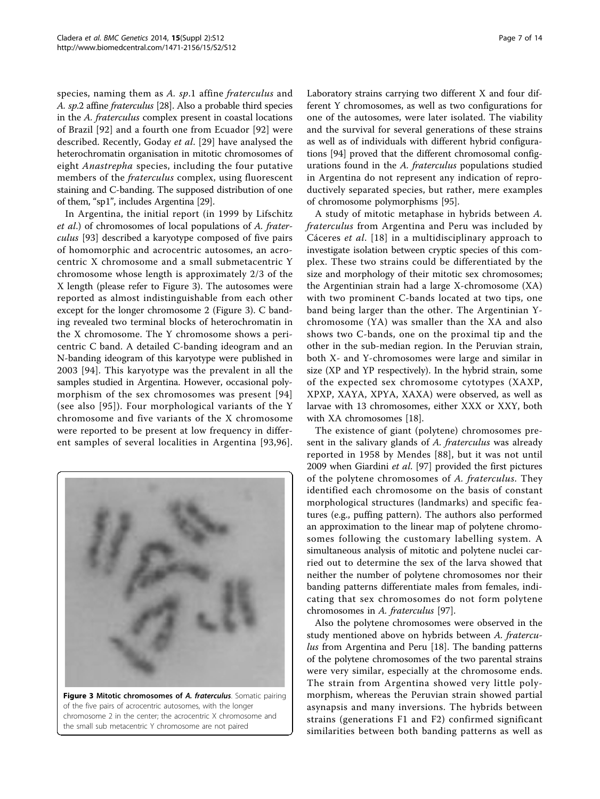species, naming them as A. sp.1 affine fraterculus and A. sp.2 affine fraterculus [\[28\]](#page-11-0). Also a probable third species in the A. fraterculus complex present in coastal locations of Brazil [[92\]](#page-12-0) and a fourth one from Ecuador [[92](#page-12-0)] were described. Recently, Goday et al. [\[29](#page-11-0)] have analysed the heterochromatin organisation in mitotic chromosomes of eight Anastrepha species, including the four putative members of the *fraterculus* complex, using fluorescent staining and C-banding. The supposed distribution of one of them, "sp1", includes Argentina [[29](#page-11-0)].

In Argentina, the initial report (in 1999 by Lifschitz et al.) of chromosomes of local populations of A. fraterculus [[93\]](#page-12-0) described a karyotype composed of five pairs of homomorphic and acrocentric autosomes, an acrocentric X chromosome and a small submetacentric Y chromosome whose length is approximately 2/3 of the X length (please refer to Figure 3). The autosomes were reported as almost indistinguishable from each other except for the longer chromosome 2 (Figure 3). C banding revealed two terminal blocks of heterochromatin in the X chromosome. The Y chromosome shows a pericentric C band. A detailed C-banding ideogram and an N-banding ideogram of this karyotype were published in 2003 [[94](#page-12-0)]. This karyotype was the prevalent in all the samples studied in Argentina. However, occasional polymorphism of the sex chromosomes was present [[94](#page-12-0)] (see also [[95](#page-12-0)]). Four morphological variants of the Y chromosome and five variants of the X chromosome were reported to be present at low frequency in different samples of several localities in Argentina [[93](#page-12-0),[96\]](#page-12-0).



Figure 3 Mitotic chromosomes of A. fraterculus. Somatic pairing of the five pairs of acrocentric autosomes, with the longer chromosome 2 in the center; the acrocentric X chromosome and the small sub metacentric Y chromosome are not paired

Laboratory strains carrying two different X and four different Y chromosomes, as well as two configurations for one of the autosomes, were later isolated. The viability and the survival for several generations of these strains as well as of individuals with different hybrid configurations [\[94\]](#page-12-0) proved that the different chromosomal configurations found in the A. fraterculus populations studied in Argentina do not represent any indication of reproductively separated species, but rather, mere examples of chromosome polymorphisms [\[95](#page-12-0)].

A study of mitotic metaphase in hybrids between A. fraterculus from Argentina and Peru was included by Cáceres et al. [[18\]](#page-11-0) in a multidisciplinary approach to investigate isolation between cryptic species of this complex. These two strains could be differentiated by the size and morphology of their mitotic sex chromosomes; the Argentinian strain had a large X-chromosome (XA) with two prominent C-bands located at two tips, one band being larger than the other. The Argentinian Ychromosome (YA) was smaller than the XA and also shows two C-bands, one on the proximal tip and the other in the sub-median region. In the Peruvian strain, both X- and Y-chromosomes were large and similar in size (XP and YP respectively). In the hybrid strain, some of the expected sex chromosome cytotypes (XAXP, XPXP, XAYA, XPYA, XAXA) were observed, as well as larvae with 13 chromosomes, either XXX or XXY, both with XA chromosomes [[18\]](#page-11-0).

The existence of giant (polytene) chromosomes present in the salivary glands of A. fraterculus was already reported in 1958 by Mendes [[88\]](#page-12-0), but it was not until 2009 when Giardini et al. [\[97\]](#page-12-0) provided the first pictures of the polytene chromosomes of A. fraterculus. They identified each chromosome on the basis of constant morphological structures (landmarks) and specific features (e.g., puffing pattern). The authors also performed an approximation to the linear map of polytene chromosomes following the customary labelling system. A simultaneous analysis of mitotic and polytene nuclei carried out to determine the sex of the larva showed that neither the number of polytene chromosomes nor their banding patterns differentiate males from females, indicating that sex chromosomes do not form polytene chromosomes in A. fraterculus [\[97](#page-12-0)].

Also the polytene chromosomes were observed in the study mentioned above on hybrids between A. fratercu-lus from Argentina and Peru [[18\]](#page-11-0). The banding patterns of the polytene chromosomes of the two parental strains were very similar, especially at the chromosome ends. The strain from Argentina showed very little polymorphism, whereas the Peruvian strain showed partial asynapsis and many inversions. The hybrids between strains (generations F1 and F2) confirmed significant similarities between both banding patterns as well as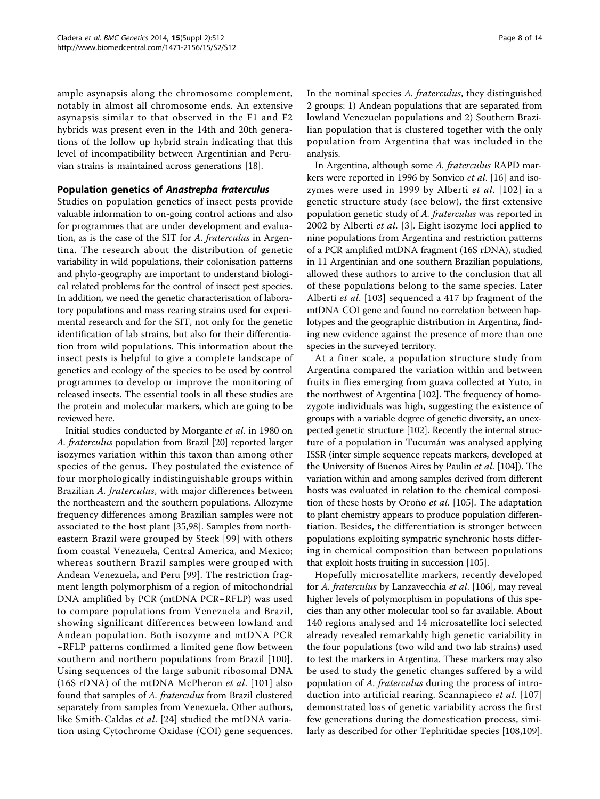ample asynapsis along the chromosome complement, notably in almost all chromosome ends. An extensive asynapsis similar to that observed in the F1 and F2 hybrids was present even in the 14th and 20th generations of the follow up hybrid strain indicating that this level of incompatibility between Argentinian and Peruvian strains is maintained across generations [\[18](#page-11-0)].

## Population genetics of Anastrepha fraterculus

Studies on population genetics of insect pests provide valuable information to on-going control actions and also for programmes that are under development and evaluation, as is the case of the SIT for A. fraterculus in Argentina. The research about the distribution of genetic variability in wild populations, their colonisation patterns and phylo-geography are important to understand biological related problems for the control of insect pest species. In addition, we need the genetic characterisation of laboratory populations and mass rearing strains used for experimental research and for the SIT, not only for the genetic identification of lab strains, but also for their differentiation from wild populations. This information about the insect pests is helpful to give a complete landscape of genetics and ecology of the species to be used by control programmes to develop or improve the monitoring of released insects. The essential tools in all these studies are the protein and molecular markers, which are going to be reviewed here.

Initial studies conducted by Morgante et al. in 1980 on A. fraterculus population from Brazil [[20](#page-11-0)] reported larger isozymes variation within this taxon than among other species of the genus. They postulated the existence of four morphologically indistinguishable groups within Brazilian A. fraterculus, with major differences between the northeastern and the southern populations. Allozyme frequency differences among Brazilian samples were not associated to the host plant [[35,](#page-11-0)[98\]](#page-12-0). Samples from northeastern Brazil were grouped by Steck [[99\]](#page-13-0) with others from coastal Venezuela, Central America, and Mexico; whereas southern Brazil samples were grouped with Andean Venezuela, and Peru [\[99\]](#page-13-0). The restriction fragment length polymorphism of a region of mitochondrial DNA amplified by PCR (mtDNA PCR+RFLP) was used to compare populations from Venezuela and Brazil, showing significant differences between lowland and Andean population. Both isozyme and mtDNA PCR +RFLP patterns confirmed a limited gene flow between southern and northern populations from Brazil [[100\]](#page-13-0). Using sequences of the large subunit ribosomal DNA (16S rDNA) of the mtDNA McPheron et al. [[101\]](#page-13-0) also found that samples of A. fraterculus from Brazil clustered separately from samples from Venezuela. Other authors, like Smith-Caldas et al. [[24\]](#page-11-0) studied the mtDNA variation using Cytochrome Oxidase (COI) gene sequences.

In the nominal species A. fraterculus, they distinguished 2 groups: 1) Andean populations that are separated from lowland Venezuelan populations and 2) Southern Brazilian population that is clustered together with the only population from Argentina that was included in the analysis.

In Argentina, although some A. fraterculus RAPD markers were reported in 1996 by Sonvico et al. [\[16\]](#page-10-0) and iso-zymes were used in 1999 by Alberti et al. [[102\]](#page-13-0) in a genetic structure study (see below), the first extensive population genetic study of A. fraterculus was reported in 2002 by Alberti et al. [[3\]](#page-10-0). Eight isozyme loci applied to nine populations from Argentina and restriction patterns of a PCR amplified mtDNA fragment (16S rDNA), studied in 11 Argentinian and one southern Brazilian populations, allowed these authors to arrive to the conclusion that all of these populations belong to the same species. Later Alberti et al. [[103](#page-13-0)] sequenced a 417 bp fragment of the mtDNA COI gene and found no correlation between haplotypes and the geographic distribution in Argentina, finding new evidence against the presence of more than one species in the surveyed territory.

At a finer scale, a population structure study from Argentina compared the variation within and between fruits in flies emerging from guava collected at Yuto, in the northwest of Argentina [[102\]](#page-13-0). The frequency of homozygote individuals was high, suggesting the existence of groups with a variable degree of genetic diversity, an unexpected genetic structure [[102](#page-13-0)]. Recently the internal structure of a population in Tucumán was analysed applying ISSR (inter simple sequence repeats markers, developed at the University of Buenos Aires by Paulin et al. [[104](#page-13-0)]). The variation within and among samples derived from different hosts was evaluated in relation to the chemical composition of these hosts by Oroño et al. [[105\]](#page-13-0). The adaptation to plant chemistry appears to produce population differentiation. Besides, the differentiation is stronger between populations exploiting sympatric synchronic hosts differing in chemical composition than between populations that exploit hosts fruiting in succession [\[105](#page-13-0)].

Hopefully microsatellite markers, recently developed for A. fraterculus by Lanzavecchia et al. [\[106\]](#page-13-0), may reveal higher levels of polymorphism in populations of this species than any other molecular tool so far available. About 140 regions analysed and 14 microsatellite loci selected already revealed remarkably high genetic variability in the four populations (two wild and two lab strains) used to test the markers in Argentina. These markers may also be used to study the genetic changes suffered by a wild population of A. fraterculus during the process of intro-duction into artificial rearing. Scannapieco et al. [[107](#page-13-0)] demonstrated loss of genetic variability across the first few generations during the domestication process, similarly as described for other Tephritidae species [[108](#page-13-0),[109](#page-13-0)].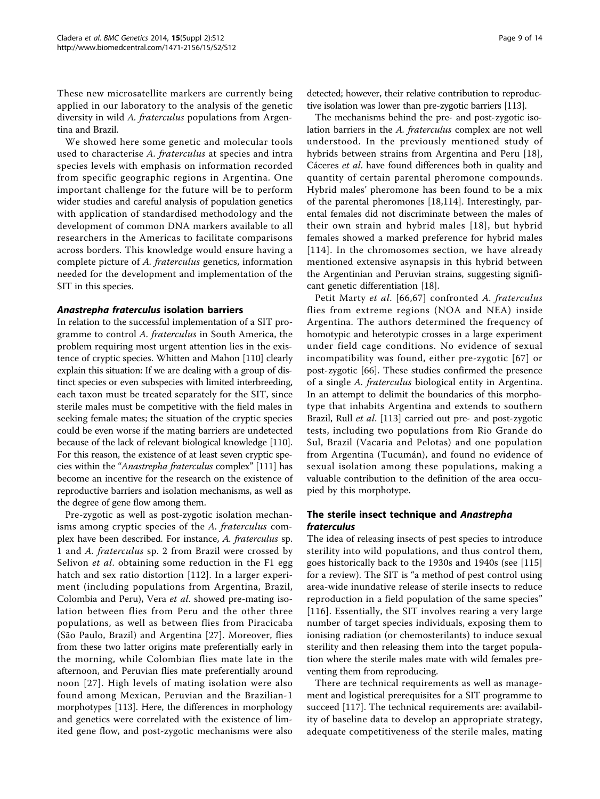These new microsatellite markers are currently being applied in our laboratory to the analysis of the genetic diversity in wild A. fraterculus populations from Argentina and Brazil.

We showed here some genetic and molecular tools used to characterise A. fraterculus at species and intra species levels with emphasis on information recorded from specific geographic regions in Argentina. One important challenge for the future will be to perform wider studies and careful analysis of population genetics with application of standardised methodology and the development of common DNA markers available to all researchers in the Americas to facilitate comparisons across borders. This knowledge would ensure having a complete picture of A. fraterculus genetics, information needed for the development and implementation of the SIT in this species.

#### Anastrepha fraterculus isolation barriers

In relation to the successful implementation of a SIT programme to control A. fraterculus in South America, the problem requiring most urgent attention lies in the existence of cryptic species. Whitten and Mahon [\[110\]](#page-13-0) clearly explain this situation: If we are dealing with a group of distinct species or even subspecies with limited interbreeding, each taxon must be treated separately for the SIT, since sterile males must be competitive with the field males in seeking female mates; the situation of the cryptic species could be even worse if the mating barriers are undetected because of the lack of relevant biological knowledge [[110](#page-13-0)]. For this reason, the existence of at least seven cryptic species within the "Anastrepha fraterculus complex" [\[111\]](#page-13-0) has become an incentive for the research on the existence of reproductive barriers and isolation mechanisms, as well as the degree of gene flow among them.

Pre-zygotic as well as post-zygotic isolation mechanisms among cryptic species of the A. fraterculus complex have been described. For instance, A. fraterculus sp. 1 and A. fraterculus sp. 2 from Brazil were crossed by Selivon *et al.* obtaining some reduction in the F1 egg hatch and sex ratio distortion [\[112](#page-13-0)]. In a larger experiment (including populations from Argentina, Brazil, Colombia and Peru), Vera et al. showed pre-mating isolation between flies from Peru and the other three populations, as well as between flies from Piracicaba (São Paulo, Brazil) and Argentina [\[27](#page-11-0)]. Moreover, flies from these two latter origins mate preferentially early in the morning, while Colombian flies mate late in the afternoon, and Peruvian flies mate preferentially around noon [[27](#page-11-0)]. High levels of mating isolation were also found among Mexican, Peruvian and the Brazilian-1 morphotypes [[113\]](#page-13-0). Here, the differences in morphology and genetics were correlated with the existence of limited gene flow, and post-zygotic mechanisms were also

detected; however, their relative contribution to reproductive isolation was lower than pre-zygotic barriers [[113](#page-13-0)].

The mechanisms behind the pre- and post-zygotic isolation barriers in the A. fraterculus complex are not well understood. In the previously mentioned study of hybrids between strains from Argentina and Peru [[18](#page-11-0)], Cáceres et al. have found differences both in quality and quantity of certain parental pheromone compounds. Hybrid males' pheromone has been found to be a mix of the parental pheromones [[18,](#page-11-0)[114](#page-13-0)]. Interestingly, parental females did not discriminate between the males of their own strain and hybrid males [[18\]](#page-11-0), but hybrid females showed a marked preference for hybrid males [[114](#page-13-0)]. In the chromosomes section, we have already mentioned extensive asynapsis in this hybrid between the Argentinian and Peruvian strains, suggesting significant genetic differentiation [\[18](#page-11-0)].

Petit Marty et al. [[66](#page-12-0),[67](#page-12-0)] confronted A. fraterculus flies from extreme regions (NOA and NEA) inside Argentina. The authors determined the frequency of homotypic and heterotypic crosses in a large experiment under field cage conditions. No evidence of sexual incompatibility was found, either pre-zygotic [[67](#page-12-0)] or post-zygotic [[66](#page-12-0)]. These studies confirmed the presence of a single A. fraterculus biological entity in Argentina. In an attempt to delimit the boundaries of this morphotype that inhabits Argentina and extends to southern Brazil, Rull et al. [[113](#page-13-0)] carried out pre- and post-zygotic tests, including two populations from Rio Grande do Sul, Brazil (Vacaria and Pelotas) and one population from Argentina (Tucumán), and found no evidence of sexual isolation among these populations, making a valuable contribution to the definition of the area occupied by this morphotype.

## The sterile insect technique and Anastrepha fraterculus

The idea of releasing insects of pest species to introduce sterility into wild populations, and thus control them, goes historically back to the 1930s and 1940s (see [\[115](#page-13-0)] for a review). The SIT is "a method of pest control using area-wide inundative release of sterile insects to reduce reproduction in a field population of the same species" [[116\]](#page-13-0). Essentially, the SIT involves rearing a very large number of target species individuals, exposing them to ionising radiation (or chemosterilants) to induce sexual sterility and then releasing them into the target population where the sterile males mate with wild females preventing them from reproducing.

There are technical requirements as well as management and logistical prerequisites for a SIT programme to succeed [\[117\]](#page-13-0). The technical requirements are: availability of baseline data to develop an appropriate strategy, adequate competitiveness of the sterile males, mating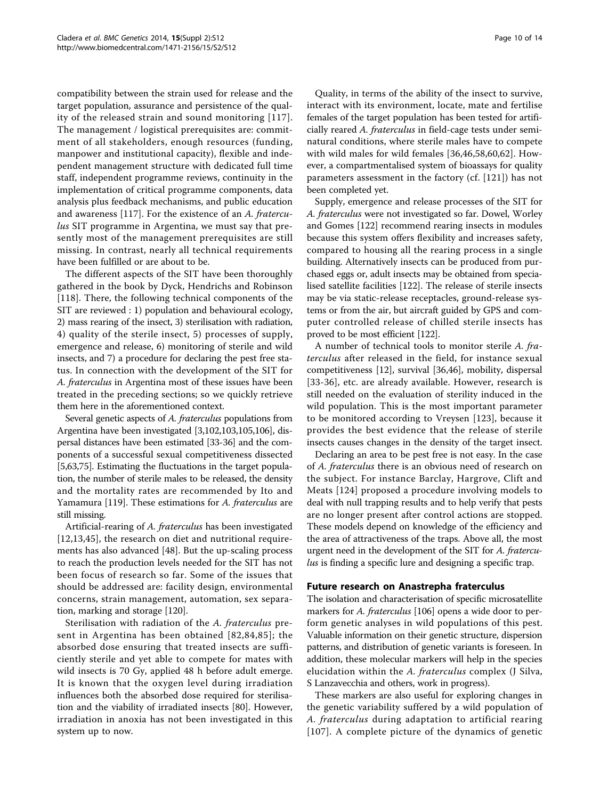compatibility between the strain used for release and the target population, assurance and persistence of the quality of the released strain and sound monitoring [\[117\]](#page-13-0). The management / logistical prerequisites are: commitment of all stakeholders, enough resources (funding, manpower and institutional capacity), flexible and independent management structure with dedicated full time staff, independent programme reviews, continuity in the implementation of critical programme components, data analysis plus feedback mechanisms, and public education and awareness [[117](#page-13-0)]. For the existence of an A. fraterculus SIT programme in Argentina, we must say that presently most of the management prerequisites are still missing. In contrast, nearly all technical requirements have been fulfilled or are about to be.

The different aspects of the SIT have been thoroughly gathered in the book by Dyck, Hendrichs and Robinson [[118](#page-13-0)]. There, the following technical components of the SIT are reviewed : 1) population and behavioural ecology, 2) mass rearing of the insect, 3) sterilisation with radiation, 4) quality of the sterile insect, 5) processes of supply, emergence and release, 6) monitoring of sterile and wild insects, and 7) a procedure for declaring the pest free status. In connection with the development of the SIT for A. fraterculus in Argentina most of these issues have been treated in the preceding sections; so we quickly retrieve them here in the aforementioned context.

Several genetic aspects of A. fraterculus populations from Argentina have been investigated [\[3](#page-10-0)[,102,103,105,106\]](#page-13-0), dispersal distances have been estimated [\[33-36\]](#page-11-0) and the components of a successful sexual competitiveness dissected [[5,](#page-10-0)[63,75](#page-12-0)]. Estimating the fluctuations in the target population, the number of sterile males to be released, the density and the mortality rates are recommended by Ito and Yamamura [\[119\]](#page-13-0). These estimations for A. fraterculus are still missing.

Artificial-rearing of A. fraterculus has been investigated [[12,13](#page-10-0),[45\]](#page-11-0), the research on diet and nutritional requirements has also advanced [[48\]](#page-11-0). But the up-scaling process to reach the production levels needed for the SIT has not been focus of research so far. Some of the issues that should be addressed are: facility design, environmental concerns, strain management, automation, sex separation, marking and storage [[120](#page-13-0)].

Sterilisation with radiation of the A. fraterculus present in Argentina has been obtained [[82](#page-12-0),[84,85\]](#page-12-0); the absorbed dose ensuring that treated insects are sufficiently sterile and yet able to compete for mates with wild insects is 70 Gy, applied 48 h before adult emerge. It is known that the oxygen level during irradiation influences both the absorbed dose required for sterilisation and the viability of irradiated insects [[80](#page-12-0)]. However, irradiation in anoxia has not been investigated in this system up to now.

Quality, in terms of the ability of the insect to survive, interact with its environment, locate, mate and fertilise females of the target population has been tested for artificially reared A. fraterculus in field-cage tests under seminatural conditions, where sterile males have to compete with wild males for wild females [[36,46](#page-11-0),[58,](#page-11-0)[60](#page-12-0),[62\]](#page-12-0). However, a compartmentalised system of bioassays for quality parameters assessment in the factory (cf. [[121](#page-13-0)]) has not been completed yet.

Supply, emergence and release processes of the SIT for A. fraterculus were not investigated so far. Dowel, Worley and Gomes [[122](#page-13-0)] recommend rearing insects in modules because this system offers flexibility and increases safety, compared to housing all the rearing process in a single building. Alternatively insects can be produced from purchased eggs or, adult insects may be obtained from specialised satellite facilities [[122](#page-13-0)]. The release of sterile insects may be via static-release receptacles, ground-release systems or from the air, but aircraft guided by GPS and computer controlled release of chilled sterile insects has proved to be most efficient [\[122\]](#page-13-0).

A number of technical tools to monitor sterile A. fraterculus after released in the field, for instance sexual competitiveness [[12](#page-10-0)], survival [\[36,46\]](#page-11-0), mobility, dispersal [[33](#page-11-0)-[36\]](#page-11-0), etc. are already available. However, research is still needed on the evaluation of sterility induced in the wild population. This is the most important parameter to be monitored according to Vreysen [[123\]](#page-13-0), because it provides the best evidence that the release of sterile insects causes changes in the density of the target insect.

Declaring an area to be pest free is not easy. In the case of A. fraterculus there is an obvious need of research on the subject. For instance Barclay, Hargrove, Clift and Meats [[124](#page-13-0)] proposed a procedure involving models to deal with null trapping results and to help verify that pests are no longer present after control actions are stopped. These models depend on knowledge of the efficiency and the area of attractiveness of the traps. Above all, the most urgent need in the development of the SIT for A. fraterculus is finding a specific lure and designing a specific trap.

#### Future research on Anastrepha fraterculus

The isolation and characterisation of specific microsatellite markers for A. fraterculus [\[106\]](#page-13-0) opens a wide door to perform genetic analyses in wild populations of this pest. Valuable information on their genetic structure, dispersion patterns, and distribution of genetic variants is foreseen. In addition, these molecular markers will help in the species elucidation within the A. fraterculus complex (J Silva, S Lanzavecchia and others, work in progress).

These markers are also useful for exploring changes in the genetic variability suffered by a wild population of A. fraterculus during adaptation to artificial rearing [[107\]](#page-13-0). A complete picture of the dynamics of genetic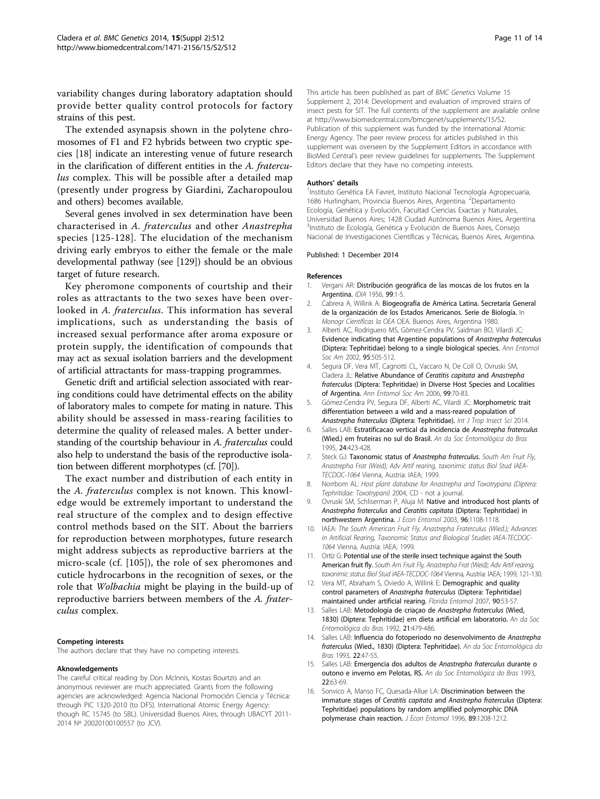<span id="page-10-0"></span>variability changes during laboratory adaptation should provide better quality control protocols for factory strains of this pest.

The extended asynapsis shown in the polytene chromosomes of F1 and F2 hybrids between two cryptic species [\[18](#page-11-0)] indicate an interesting venue of future research in the clarification of different entities in the A. fraterculus complex. This will be possible after a detailed map (presently under progress by Giardini, Zacharopoulou and others) becomes available.

Several genes involved in sex determination have been characterised in A. fraterculus and other Anastrepha species [\[125](#page-13-0)-[128\]](#page-13-0). The elucidation of the mechanism driving early embryos to either the female or the male developmental pathway (see [\[129](#page-13-0)]) should be an obvious target of future research.

Key pheromone components of courtship and their roles as attractants to the two sexes have been overlooked in A. fraterculus. This information has several implications, such as understanding the basis of increased sexual performance after aroma exposure or protein supply, the identification of compounds that may act as sexual isolation barriers and the development of artificial attractants for mass-trapping programmes.

Genetic drift and artificial selection associated with rearing conditions could have detrimental effects on the ability of laboratory males to compete for mating in nature. This ability should be assessed in mass-rearing facilities to determine the quality of released males. A better understanding of the courtship behaviour in A. fraterculus could also help to understand the basis of the reproductive isolation between different morphotypes (cf. [[70](#page-12-0)]).

The exact number and distribution of each entity in the A. fraterculus complex is not known. This knowledge would be extremely important to understand the real structure of the complex and to design effective control methods based on the SIT. About the barriers for reproduction between morphotypes, future research might address subjects as reproductive barriers at the micro-scale (cf. [\[105](#page-13-0)]), the role of sex pheromones and cuticle hydrocarbons in the recognition of sexes, or the role that Wolbachia might be playing in the build-up of reproductive barriers between members of the A. fraterculus complex.

#### Competing interests

The authors declare that they have no competing interests.

#### Aknowledgements

The careful critical reading by Don McInnis, Kostas Bourtzis and an anonymous reviewer are much appreciated. Grants from the following agencies are acknowledged: Agencia Nacional Promoción Ciencia y Técnica: through PIC 1320-2010 (to DFS). International Atomic Energy Agency: though RC 15745 (to SBL). Universidad Buenos Aires, through UBACYT 2011- 2014 Nº 20020100100557 (to JCV).

This article has been published as part of BMC Genetics Volume 15 Supplement 2, 2014: Development and evaluation of improved strains of insect pests for SIT. The full contents of the supplement are available online at<http://www.biomedcentral.com/bmcgenet/supplements/15/S2>. Publication of this supplement was funded by the International Atomic Energy Agency. The peer review process for articles published in this supplement was overseen by the Supplement Editors in accordance with BioMed Central's peer review guidelines for supplements. The Supplement Editors declare that they have no competing interests.

#### Authors' details <sup>1</sup>

<sup>1</sup>Instituto Genética EA Favret, Instituto Nacional Tecnología Agropecuaria, 1686 Hurlingham, Provincia Buenos Aires, Argentina. <sup>2</sup>Departamento Ecología, Genética y Evolución, Facultad Ciencias Exactas y Naturales, Universidad Buenos Aires; 1428 Ciudad Autónoma Buenos Aires, Argentina. <sup>3</sup>Instituto de Ecología, Genética y Evolución de Buenos Aires, Consejo Nacional de Investigaciones Científicas y Técnicas, Buenos Aires, Argentina.

#### Published: 1 December 2014

#### References

- 1. Vergani AR: Distribución geográfica de las moscas de los frutos en la Argentina. IDIA 1956, 99:1-5.
- 2. Cabrera A, Willink A: Biogeografía de América Latina. Secretaría General de la organización de los Estados Americanos. Serie de Biología. In Monogr Científicas la OEA OEA. Buenos Aires, Argentina 1980.
- 3. Alberti AC, Rodriguero MS, Gómez-Cendra PV, Saidman BO, Vilardi JC: Evidence indicating that Argentine populations of Anastrepha fraterculus (Diptera: Tephritidae) belong to a single biological species. Ann Entomol Soc Am 2002, 95:505-512.
- 4. Segura DF, Vera MT, Cagnotti CL, Vaccaro N, De Coll O, Ovruski SM, Cladera JL: Relative Abundance of Ceratitis capitata and Anastrepha fraterculus (Diptera: Tephritidae) in Diverse Host Species and Localities of Argentina. Ann Entomol Soc Am 2006, 99:70-83.
- 5. Gómez-Cendra PV, Segura DF, Alberti AC, Vilardi JC: Morphometric trait differentiation between a wild and a mass-reared population of Anastrepha fraterculus (Diptera: Tephritidae). Int J Trop Insect Sci 2014.
- 6. Salles LAB: Estratificacao vertical da incidencia de Anastrepha fraterculus (Wied.) em fruteiras no sul do Brasil. An da Soc Entomológica do Bras 1995, 24:423-428.
- 7. Steck GJ: Taxonomic status of Anastrepha fraterculus. South Am Fruit Fly, Anastrepha Frat (Weid); Adv Artif rearing, taxonimic status Biol Stud IAEA-TECDOC-1064 Vienna, Austria: IAEA; 1999.
- 8. Norrbom AL: Host plant database for Anastrepha and Toxotrypana (Diptera: Tephritidae: Toxotrypani) 2004, CD - not a journal.
- 9. Ovruski SM, Schliserman P, Aluja M: Native and introduced host plants of Anastrepha fraterculus and Ceratitis capitata (Diptera: Tephritidae) in northwestern Argentina. J Econ Entomol 2003, 96:1108-1118.
- 10. IAEA: The South American Fruit Fly, Anastrepha Fraterculus (Wied.); Advances in Artificial Rearing, Taxonomic Status and Biological Studies IAEA-TECDOC-1064 Vienna, Austria: IAEA; 1999.
- 11. Ortíz G: Potential use of the sterile insect technique against the South American fruit fly. South Am Fruit Fly. Anastrepha Frat (Weid): Ady Artif rearing taxonimic status Biol Stud IAEA-TECDOC-1064 Vienna, Austria: IAEA; 1999, 121-130.
- 12. Vera MT, Abraham S, Oviedo A, Willink E: Demographic and quality control parameters of Anastrepha fraterculus (Diptera: Tephritidae) maintained under artificial rearing. Florida Entomol 2007, 90:53-57.
- 13. Salles LAB: Metodología de criaçao de Anastrepha fraterculus (Wied, 1830) (Diptera: Tephritidae) em dieta artificial em laboratorio. An da Soc Entomológica do Bras 1992, 21:479-486.
- 14. Salles LAB: Influencia do fotoperiodo no desenvolvimento de Anastrepha fraterculus (Wied., 1830) (Diptera: Tephritidae). An da Soc Entomológica do Bras 1993, 22:47-55.
- 15. Salles LAB: Emergencia dos adultos de Anastrepha fraterculus durante o outono e inverno em Pelotas, RS. An da Soc Entomológica do Bras 1993, 22:63-69.
- 16. Sonvico A, Manso FC, Quesada-Allue LA: Discrimination between the immature stages of Ceratitis capitata and Anastrepha fraterculus (Diptera: Tephritidae) populations by random amplified polymorphic DNA polymerase chain reaction. J Econ Entomol 1996, 89:1208-1212.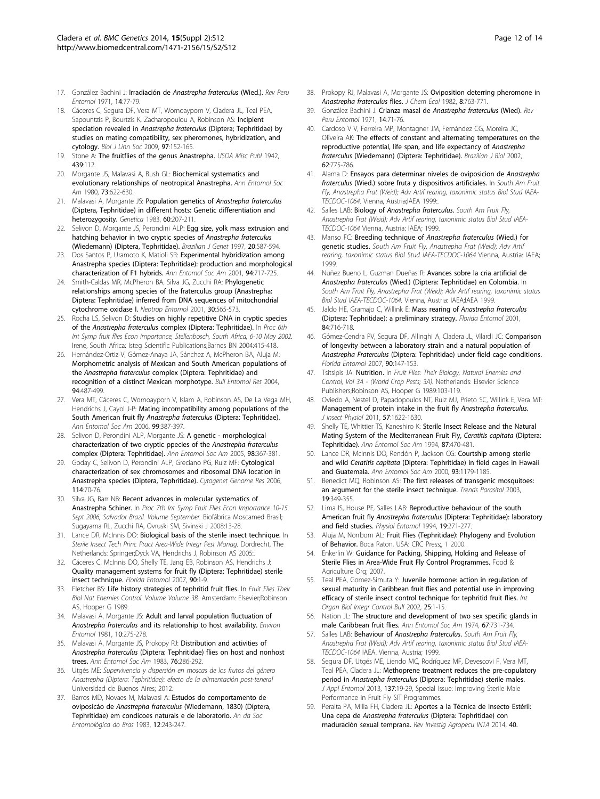- <span id="page-11-0"></span>17. González Bachini J: Irradiación de Anastrepha fraterculus (Wied.). Rev Peru Entomol 1971, 14:77-79.
- 18. Cáceres C, Segura DF, Vera MT, Wornoayporn V, Cladera JL, Teal PEA, Sapountzis P, Bourtzis K, Zacharopoulou A, Robinson AS: Incipient speciation revealed in Anastrepha fraterculus (Diptera; Tephritidae) by studies on mating compatibility, sex pheromones, hybridization, and cytology. Biol J Linn Soc 2009, 97:152-165.
- 19. Stone A: The fruitflies of the genus Anastrepha. USDA Misc Publ 1942, 439:112.
- 20. Morgante JS, Malavasi A, Bush GL: Biochemical systematics and evolutionary relationships of neotropical Anastrepha. Ann Entomol Soc Am 1980, 73:622-630.
- 21. Malavasi A, Morgante JS: Population genetics of Anastrepha fraterculus (Diptera, Tephritidae) in different hosts: Genetic differentiation and heterozygosity. Genetica 1983, 60:207-211.
- 22. Selivon D, Morgante JS, Perondini ALP: Egg size, yolk mass extrusion and hatching behavior in two cryptic species of Anastrepha fraterculus (Wiedemann) (Diptera, Tephritidae). Brazilian J Genet 1997, 20:587-594.
- 23. Dos Santos P, Uramoto K, Matioli SR: Experimental hybridization among Anastrepha species (Diptera: Tephritidae): production and morphological characterization of F1 hybrids. Ann Entomol Soc Am 2001, 94:717-725.
- 24. Smith-Caldas MR, McPheron BA, Silva JG, Zucchi RA: Phylogenetic relationships among species of the fraterculus group (Anastrepha: Diptera: Tephritidae) inferred from DNA sequences of mitochondrial cytochrome oxidase I. Neotrop Entomol 2001, 30:565-573.
- 25. Rocha LS, Selivon D: Studies on highly repetitive DNA in cryptic species of the Anastrepha fraterculus complex (Diptera: Tephritidae). In Proc 6th Int Symp fruit flies Econ importance, Stellenbosch, South Africa, 6-10 May 2002. Irene, South Africa: Isteg Scientific Publications;Barnes BN 2004:415-418.
- 26. Hernández-Ortiz V, Gómez-Anaya JA, Sánchez A, McPheron BA, Aluja M: Morphometric analysis of Mexican and South American populations of the Anastrepha fraterculus complex (Diptera: Tephritidae) and recognition of a distinct Mexican morphotype. Bull Entomol Res 2004, 94:487-499.
- 27. Vera MT, Cáceres C, Wornoayporn V, Islam A, Robinson AS, De La Vega MH, Hendrichs J, Cayol J-P: Mating incompatibility among populations of the South American fruit fly Anastrepha fraterculus (Diptera: Tephritidae). Ann Entomol Soc Am 2006, 99:387-397.
- 28. Selivon D, Perondini ALP, Morgante JS: A genetic morphological characterization of two cryptic ppecies of the Anastrepha fraterculus complex (Diptera: Tephritidae). Ann Entomol Soc Am 2005, 98:367-381.
- 29. Goday C, Selivon D, Perondini ALP, Greciano PG, Ruiz MF: Cytological characterization of sex chromosomes and ribosomal DNA location in Anastrepha species (Diptera, Tephritidae). Cytogenet Genome Res 2006, 114:70-76.
- 30. Silva JG, Barr NB: Recent advances in molecular systematics of Anastrepha Schiner. In Proc 7th Int Symp Fruit Flies Econ Importance 10-15 Sept 2006, Salvador Brazil. Volume September. Biofábrica Moscamed Brasil; Sugayama RL, Zucchi RA, Ovruski SM, Sivinski J 2008:13-28.
- 31. Lance DR, McInnis DO: Biological basis of the sterile insect technique. In Sterile Insect Tech Princ Pract Area-Wide Integr Pest Manag. Dordrecht, The Netherlands: Springer;Dyck VA, Hendrichs J, Robinson AS 2005:.
- 32. Cáceres C, McInnis DO, Shelly TE, Jang EB, Robinson AS, Hendrichs J: Quality management systems for fruit fly (Diptera: Tephritidae) sterile insect technique. Florida Entomol 2007, 90:1-9.
- 33. Fletcher BS: Life history strategies of tephritid fruit flies. In Fruit Flies Their Biol Nat Enemies Control. Volume Volume 3B. Amsterdam: Elsevier;Robinson AS, Hooper G 1989.
- 34. Malavasi A, Morgante JS: Adult and larval population fluctuation of Anastrepha fraterculus and its relationship to host availability. Environ Entomol 1981, 10:275-278.
- 35. Malavasi A, Morgante JS, Prokopy RJ: Distribution and activities of Anastrepha fraterculus (Diptera: Tephritidae) flies on host and nonhost trees. Ann Entomol Soc Am 1983, 76:286-292.
- 36. Utgés ME: Supervivencia y dispersión en moscas de los frutos del género Anastrepha (Diptera: Tephritidae): efecto de la alimentación post-teneral Universidad de Buenos Aires; 2012.
- 37. Barros MD, Novaes M, Malavasi A: Estudos do comportamento de oviposicáo de Anastrepha fraterculus (Wiedemann, 1830) (Díptera, Tephritidae) em condicoes naturais e de laboratorio. An da Soc Entomológica do Bras 1983, 12:243-247.
- 38. Prokopy RJ, Malavasi A, Morgante JS: Oviposition deterring pheromone in Anastrepha fraterculus flies. J Chem Ecol 1982, 8:763-771.
- 39. González Bachini J: Crianza masal de Anastrepha fraterculus (Wied). Rev Peru Entomol 1971, 14:71-76.
- 40. Cardoso V V, Ferreira MP, Montagner JM, Fernández CG, Moreira JC, Oliveira AK: The effects of constant and alternating temperatures on the reproductive potential, life span, and life expectancy of Anastrepha fraterculus (Wiedemann) (Diptera: Tephritidae). Brazilian J Biol 2002, 62:775-786.
- 41. Alama D: Ensayos para determinar niveles de oviposicion de Anastrepha fraterculus (Wied.) sobre fruta y dispositivos artificiales. In South Am Fruit Fly, Anastrepha Frat (Weid); Adv Artif rearing, taxonimic status Biol Stud IAEA-TECDOC-1064. Vienna, Austria;IAEA 1999:.
- 42. Salles LAB: Biology of Anastrepha fraterculus. South Am Fruit Fly, Anastrepha Frat (Weid); Adv Artif rearing, taxonimic status Biol Stud IAEA-TECDOC-1064 Vienna, Austria: IAEA; 1999.
- 43. Manso FC: Breeding technique of Anastrepha fraterculus (Wied.) for genetic studies. South Am Fruit Fly, Anastrepha Frat (Weid); Adv Artif rearing, taxonimic status Biol Stud IAEA-TECDOC-1064 Vienna, Austria: IAEA; 1999.
- 44. Nuñez Bueno L, Guzman Dueñas R: Avances sobre la cria artificial de Anastrepha fraterculus (Wied.) (Diptera: Tephritidae) en Colombia. In South Am Fruit Fly, Anastrepha Frat (Weid); Adv Artif rearing, taxonimic status Biol Stud IAEA-TECDOC-1064. Vienna, Austria: IAEA;IAEA 1999.
- 45. Jaldo HE, Gramajo C, Willink E: Mass rearing of Anastrepha fraterculus (Diptera: Tephritidae): a preliminary strategy. Florida Entomol 2001, 84:716-718.
- 46. Gómez-Cendra PV, Segura DF, Allinghi A, Cladera JL, Vilardi JC: Comparison of longevity between a laboratory strain and a natural population of Anastrepha Fraterculus (Diptera: Tephritidae) under field cage conditions. Florida Entomol 2007, 90:147-153.
- 47. Tsitsipis JA: Nutrition. In Fruit Flies: Their Biology, Natural Enemies and Control, Vol 3A - (World Crop Pests; 3A). Netherlands: Elsevier Science Publishers;Robinson AS, Hooper G 1989:103-119.
- 48. Oviedo A, Nestel D, Papadopoulos NT, Ruiz MJ, Prieto SC, Willink E, Vera MT: Management of protein intake in the fruit fly Anastrepha fraterculus. J Insect Physiol 2011, 57:1622-1630.
- 49. Shelly TE, Whittier TS, Kaneshiro K: Sterile Insect Release and the Natural Mating System of the Mediterranean Fruit Fly, Ceratitis capitata (Diptera: Tephritidae). Ann Entomol Soc Am 1994, 87:470-481.
- 50. Lance DR, McInnis DO, Rendón P, Jackson CG: Courtship among sterile and wild Ceratitis capitata (Diptera: Tephritidae) in field cages in Hawaii and Guatemala. Ann Entomol Soc Am 2000, 93:1179-1185.
- 51. Benedict MQ, Robinson AS: The first releases of transgenic mosquitoes: an argument for the sterile insect technique. Trends Parasitol 2003, 19:349-355.
- 52. Lima IS, House PE, Salles LAB: Reproductive behaviour of the south American fruit fly Anastrepha fraterculus (Diptera: Tephritidae): laboratory and field studies. Physiol Entomol 1994, 19:271-277.
- 53. Aluja M, Norrbom AL: Fruit Flies (Tephritidae): Phylogeny and Evolution of Behavior. Boca Raton, USA: CRC Press;, 1 2000.
- Enkerlin W: Guidance for Packing, Shipping, Holding and Release of Sterile Flies in Area-Wide Fruit Fly Control Programmes. Food & Agriculture Org; 2007.
- 55. Teal PEA, Gomez-Simuta Y: Juvenile hormone: action in regulation of sexual maturity in Caribbean fruit flies and potential use in improving efficacy of sterile insect control technique for tephritid fruit flies. Int Organ Biol Integr Control Bull 2002, 25:1-15.
- 56. Nation JL: The structure and development of two sex specific glands in male Caribbean fruit flies. Ann Entomol Soc Am 1974, 67:731-734.
- 57. Salles LAB: Behaviour of Anastrepha fraterculus. South Am Fruit Fly Anastrepha Frat (Weid); Adv Artif rearing, taxonimic status Biol Stud IAEA-TECDOC-1064 IAEA. Vienna, Austria; 1999.
- 58. Segura DF, Utgés ME, Liendo MC, Rodríguez MF, Devescovi F, Vera MT, Teal PEA, Cladera JL: Methoprene treatment reduces the pre-copulatory period in Anastrepha fraterculus (Diptera: Tephritidae) sterile males. J Appl Entomol 2013, 137:19-29, Special Issue: Improving Sterile Male Performance in Fruit Fly SIT Programmes.
- 59. Peralta PA, Milla FH, Cladera JL: Aportes a la Técnica de Insecto Estéril: Una cepa de Anastrepha fraterculus (Diptera: Tephritidae) con maduración sexual temprana. Rev Investig Agropecu INTA 2014, 40.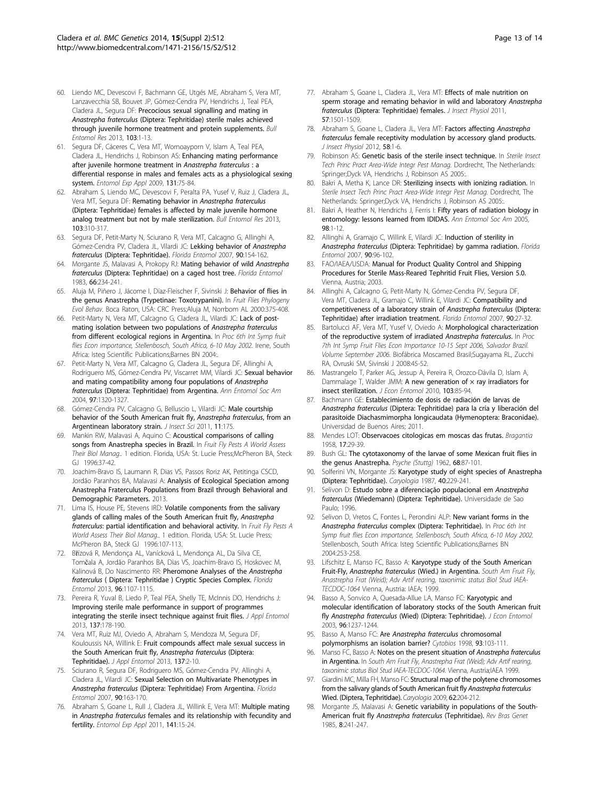- <span id="page-12-0"></span>60. Liendo MC, Devescovi F, Bachmann GE, Utgés ME, Abraham S, Vera MT, Lanzavecchia SB, Bouvet JP, Gómez-Cendra PV, Hendrichs J, Teal PEA, Cladera JL, Segura DF: Precocious sexual signalling and mating in Anastrepha fraterculus (Diptera: Tephritidae) sterile males achieved through juvenile hormone treatment and protein supplements. Bull Entomol Res 2013, 103:1-13.
- 61. Segura DF, Cáceres C, Vera MT, Wornoayporn V, Islam A, Teal PEA, Cladera JL, Hendrichs J, Robinson AS: Enhancing mating performance after juvenile hormone treatment in Anastrepha fraterculus : a differential response in males and females acts as a physiological sexing system. Entomol Exp Appl 2009, 131:75-84.
- 62. Abraham S, Liendo MC, Devescovi F, Peralta PA, Yusef V, Ruiz J, Cladera JL, Vera MT, Segura DF: Remating behavior in Anastrepha fraterculus (Diptera: Tephritidae) females is affected by male juvenile hormone analog treatment but not by male sterilization. Bull Entomol Res 2013, 103:310-317.
- 63. Segura DF, Petit-Marty N, Sciurano R, Vera MT, Calcagno G, Allinghi A, Gómez-Cendra PV, Cladera JL, Vilardi JC: Lekking behavior of Anastrepha fraterculus (Diptera: Tephritidae). Florida Entomol 2007, 90:154-162.
- 64. Morgante JS, Malavasi A, Prokopy RJ: Mating behavior of wild Anastrepha fraterculus (Diptera: Tephritidae) on a caged host tree. Florida Entomol 1983, 66:234-241.
- 65. Aluja M, Piñero J, Jácome I, Díaz-Fleischer F, Sivinski J: Behavior of flies in the genus Anastrepha (Trypetinae: Toxotrypanini). In Fruit Flies Phylogeny Evol Behav. Boca Raton, USA: CRC Press;Aluja M, Norrbom AL 2000:375-408.
- 66. Petit-Marty N, Vera MT, Calcagno G, Cladera JL, Vilardi JC: Lack of postmating isolation between two populations of Anastrepha fraterculus from different ecological regions in Argentina. In Proc 6th Int Symp fruit flies Econ importance, Stellenbosch, South Africa, 6-10 May 2002. Irene, South Africa: Isteg Scientific Publications;Barnes BN 2004:.
- 67. Petit-Marty N, Vera MT, Calcagno G, Cladera JL, Segura DF, Allinghi A, Rodriguero MS, Gómez-Cendra PV, Viscarret MM, Vilardi JC: Sexual behavior and mating compatibility among four populations of Anastrepha fraterculus (Diptera: Tephritidae) from Argentina. Ann Entomol Soc Am 2004, 97:1320-1327.
- 68. Gómez-Cendra PV, Calcagno G, Belluscio L, Vilardi JC: Male courtship behavior of the South American fruit fly, Anastrepha fraterculus, from an Argentinean laboratory strain. J Insect Sci 2011, 11:175.
- 69. Mankin RW, Malavasi A, Aquino C: Acoustical comparisons of calling songs from Anastrepha species in Brazil. In Fruit Fly Pests A World Assess Their Biol Manag.. 1 edition. Florida, USA: St. Lucie Press;McPheron BA, Steck GJ 1996:37-42.
- 70. Joachim-Bravo IS, Laumann R, Dias VS, Passos Roriz AK, Petitinga CSCD, Jordão Paranhos BA, Malavasi A: Analysis of Ecological Speciation among Anastrepha Fraterculus Populations from Brazil through Behavioral and Demographic Parameters. 2013.
- 71. Lima IS, House PE, Stevens IRD: Volatile components from the salivary glands of calling males of the South American fruit fly, Anastrepha fraterculus: partial identification and behavioral activity. In Fruit Fly Pests A World Assess Their Biol Manag.. 1 edition. Florida, USA: St. Lucie Press; McPheron BA, Steck GJ 1996:107-113.
- 72. Břízová R, Mendonça AL, Vanícková L, Mendonça AL, Da Silva CE, Tomčala A, Jordão Paranhos BA, Dias VS, Joachim-Bravo IS, Hoskovec M, Kalinová B, Do Nascimento RR: Pheromone Analyses of the Anastrepha fraterculus ( Diptera: Tephritidae ) Cryptic Species Complex. Florida Entomol 2013, 96:1107-1115.
- 73. Pereira R, Yuval B, Liedo P, Teal PEA, Shelly TE, McInnis DO, Hendrichs J: Improving sterile male performance in support of programmes integrating the sterile insect technique against fruit flies. J Appl Entomol 2013, 137:178-190.
- 74. Vera MT, Ruiz MJ, Oviedo A, Abraham S, Mendoza M, Segura DF, Kouloussis NA, Willink E: Fruit compounds affect male sexual success in the South American fruit fly, Anastrepha fraterculus (Diptera: Tephritidae). J Appl Entomol 2013, 137:2-10.
- 75. Sciurano R, Segura DF, Rodriguero MS, Gómez-Cendra PV, Allinghi A, Cladera JL, Vilardi JC: Sexual Selection on Multivariate Phenotypes in Anastrepha fraterculus (Diptera: Tephritidae) From Argentina. Florida Entomol 2007, 90:163-170.
- 76. Abraham S, Goane L, Rull J, Cladera JL, Willink E, Vera MT: Multiple mating in Anastrepha fraterculus females and its relationship with fecundity and fertility. Entomol Exp Appl 2011, 141:15-24.
- 77. Abraham S, Goane L, Cladera JL, Vera MT: Effects of male nutrition on sperm storage and remating behavior in wild and laboratory Anastrepha fraterculus (Diptera: Tephritidae) females. J Insect Physiol 2011, 57:1501-1509.
- 78. Abraham S, Goane L, Cladera JL, Vera MT: Factors affecting Anastrepha fraterculus female receptivity modulation by accessory gland products. J Insect Physiol 2012, 58:1-6.
- 79. Robinson AS: Genetic basis of the sterile insect technique. In Sterile Insect Tech Princ Pract Area-Wide Integr Pest Manag. Dordrecht, The Netherlands: Springer;Dyck VA, Hendrichs J, Robinson AS 2005:.
- 80. Bakri A, Metha K, Lance DR: Sterilizing insects with ionizing radiation. In Sterile Insect Tech Princ Pract Area-Wide Integr Pest Manag. Dordrecht, The Netherlands: Springer;Dyck VA, Hendrichs J, Robinson AS 2005:.
- 81. Bakri A, Heather N, Hendrichs J, Ferris I: Fifty years of radiation biology in entomology: lessons learned from IDIDAS. Ann Entomol Soc Am 2005, 98:1-12.
- 82. Allinghi A, Gramajo C, Willink E, Vilardi JC: Induction of sterility in Anastrepha fraterculus (Diptera: Tephritidae) by gamma radiation. Florida Entomol 2007, 90:96-102.
- 83. FAO/IAEA/USDA: Manual for Product Quality Control and Shipping Procedures for Sterile Mass-Reared Tephritid Fruit Flies, Version 5.0. Vienna, Austria; 2003.
- 84. Allinghi A, Calcagno G, Petit-Marty N, Gómez-Cendra PV, Segura DF, Vera MT, Cladera JL, Gramajo C, Willink E, Vilardi JC: Compatibility and competitiveness of a laboratory strain of Anastrepha fraterculus (Diptera: Tephritidae) after irradiation treatment. Florida Entomol 2007, 90:27-32.
- Bartolucci AF, Vera MT, Yusef V, Oviedo A: Morphological characterization of the reproductive system of irradiated Anastrepha fraterculus. In Proc 7th Int Symp Fruit Flies Econ Importance 10-15 Sept 2006, Salvador Brazil. Volume September 2006. Biofábrica Moscamed Brasil;Sugayama RL, Zucchi RA, Ovruski SM, Sivinski J 2008:45-52.
- 86. Mastrangelo T, Parker AG, Jessup A, Pereira R, Orozco-Dávila D, Islam A, Dammalage T, Walder JMM: A new generation of  $\times$  ray irradiators for insect sterilization. J Econ Entomol 2010, 103:85-94.
- 87. Bachmann GE: Establecimiento de dosis de radiación de larvas de Anastrepha fraterculus (Diptera: Tephritidae) para la cría y liberación del parasitoide Diachasmimorpha longicaudata (Hymenoptera: Braconidae). Universidad de Buenos Aires; 2011.
- 88. Mendes LOT: Observacoes citologicas em moscas das frutas. Bragantia 1958, 17:29-39.
- 89. Bush GL: The cytotaxonomy of the larvae of some Mexican fruit flies in the genus Anastrepha. Psyche (Stuttg) 1962, 68:87-101.
- 90. Solferini VN, Morgante JS: Karyotype study of eight species of Anastrepha (Diptera: Tephritidae). Caryologia 1987, 40:229-241.
- 91. Selivon D: Estudo sobre a diferenciação populacional em Anastrepha fraterculus (Wiedemann) (Diptera: Tephritidae). Universidade de Sao Paulo; 1996.
- 92. Selivon D, Vretos C, Fontes L, Perondini ALP: New variant forms in the Anastrepha fraterculus complex (Diptera: Tephritidae). In Proc 6th Int Symp fruit flies Econ importance, Stellenbosch, South Africa, 6-10 May 2002. Stellenbosch, South Africa: Isteg Scientific Publications;Barnes BN 2004:253-258.
- 93. Lifschitz E, Manso FC, Basso A: Karyotype study of the South American Fruit-Fly, Anastrepha fraterculus (Wied.) in Argentina. South Am Fruit Fly, Anastrepha Frat (Weid); Adv Artif rearing, taxonimic status Biol Stud IAEA-TECDOC-1064 Vienna, Austria: IAEA; 1999.
- 94. Basso A, Sonvico A, Quesada-Allue LA, Manso FC: Karyotypic and molecular identification of laboratory stocks of the South American fruit fly Anastrepha fraterculus (Wied) (Diptera: Tephritidae). J Econ Entomol 2003, 96:1237-1244.
- 95. Basso A, Manso FC: Are Anastrepha fraterculus chromosomal polymorphisms an isolation barrier? Cytobios 1998, 93:103-111.
- 96. Manso FC, Basso A: Notes on the present situation of Anastrepha fraterculus in Argentina. In South Am Fruit Fly, Anastrepha Frat (Weid); Adv Artif rearing, taxonimic status Biol Stud IAEA-TECDOC-1064. Vienna, Austria;IAEA 1999.
- 97. Giardini MC, Milla FH, Manso FC: Structural map of the polytene chromosomes from the salivary glands of South American fruit fly Anastrepha fraterculus Wied. (Diptera, Tephritidae). Caryologia 2009, 62:204-212.
- 98. Morgante JS, Malavasi A: Genetic variability in populations of the South-American fruit fly Anastrepha fraterculus (Tephritidae). Rev Bras Genet 1985, 8:241-247.